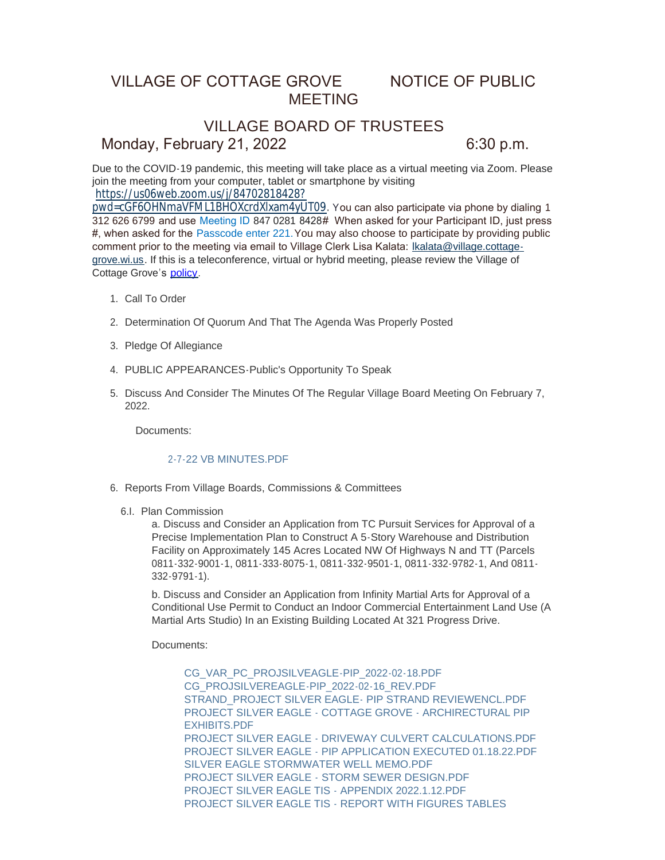# VILLAGE OF COTTAGE GROVE NOTICE OF PUBLIC MEETING

# VILLAGE BOARD OF TRUSTEES Monday, February 21, 2022 6:30 p.m.

Due to the COVID-19 pandemic, this meeting will take place as a virtual meeting via Zoom. Please join the meeting from your computer, tablet or smartphone by visiting https://us06web.zoom.us/j/84702818428?

[pwd=cGF6OHNmaVFML1BHOXcrdXlxam4yUT09.](https://us06web.zoom.us/j/84702818428?pwd=cGF6OHNmaVFML1BHOXcrdXlxam4yUT09) You can also participate via phone by dialing 1 312 626 6799 and use Meeting ID 847 0281 8428# When asked for your Participant ID, just press #, when asked for the Passcode enter 221.You may also choose to participate by providing public comment prior to the meeting via email to Village Clerk Lisa Kalata: Ikalata@village.cottagegrove.wi.us. If this is a teleconference, virtual or hybrid meeting, plea[se review the Village of](mailto:lkalata@village.cottage-grove.wi.us)  Cottage Grove's [policy](https://www.vi.cottagegrove.wi.gov/DocumentCenter/View/1850/Virtual-Hybrid-Tele-meeting-Policy-Final).

- 1. Call To Order
- 2. Determination Of Quorum And That The Agenda Was Properly Posted
- 3. Pledge Of Allegiance
- PUBLIC APPEARANCES-Public's Opportunity To Speak 4.
- 5. Discuss And Consider The Minutes Of The Regular Village Board Meeting On February 7, 2022.

Documents:

# [2-7-22 VB MINUTES.PDF](https://www.vi.cottagegrove.wi.gov/AgendaCenter/ViewFile/Item/9548?fileID=18924)

- 6. Reports From Village Boards, Commissions & Committees
	- 6.I. Plan Commission

a. Discuss and Consider an Application from TC Pursuit Services for Approval of a Precise Implementation Plan to Construct A 5-Story Warehouse and Distribution Facility on Approximately 145 Acres Located NW Of Highways N and TT (Parcels 0811-332-9001-1, 0811-333-8075-1, 0811-332-9501-1, 0811-332-9782-1, And 0811- 332-9791-1).

b. Discuss and Consider an Application from Infinity Martial Arts for Approval of a Conditional Use Permit to Conduct an Indoor Commercial Entertainment Land Use (A Martial Arts Studio) In an Existing Building Located At 321 Progress Drive.

Documents:

[CG\\_VAR\\_PC\\_PROJSILVEAGLE-PIP\\_2022-02-18.PDF](https://www.vi.cottagegrove.wi.gov/AgendaCenter/ViewFile/Item/9586?fileID=19098) [CG\\_PROJSILVEREAGLE-PIP\\_2022-02-16\\_REV.PDF](https://www.vi.cottagegrove.wi.gov/AgendaCenter/ViewFile/Item/9586?fileID=19099) [STRAND\\_PROJECT SILVER EAGLE- PIP STRAND REVIEWENCL.PDF](https://www.vi.cottagegrove.wi.gov/AgendaCenter/ViewFile/Item/9586?fileID=19100) [PROJECT SILVER EAGLE - COTTAGE GROVE - ARCHIRECTURAL PIP](https://www.vi.cottagegrove.wi.gov/AgendaCenter/ViewFile/Item/9586?fileID=19101)  EXHIBITS.PDF [PROJECT SILVER EAGLE - DRIVEWAY CULVERT CALCULATIONS.PDF](https://www.vi.cottagegrove.wi.gov/AgendaCenter/ViewFile/Item/9586?fileID=19102) [PROJECT SILVER EAGLE - PIP APPLICATION EXECUTED 01.18.22.PDF](https://www.vi.cottagegrove.wi.gov/AgendaCenter/ViewFile/Item/9586?fileID=19103) [SILVER EAGLE STORMWATER WELL MEMO.PDF](https://www.vi.cottagegrove.wi.gov/AgendaCenter/ViewFile/Item/9586?fileID=19104) [PROJECT SILVER EAGLE - STORM SEWER DESIGN.PDF](https://www.vi.cottagegrove.wi.gov/AgendaCenter/ViewFile/Item/9586?fileID=19105) [PROJECT SILVER EAGLE TIS - APPENDIX 2022.1.12.PDF](https://www.vi.cottagegrove.wi.gov/AgendaCenter/ViewFile/Item/9586?fileID=19106) [PROJECT SILVER EAGLE TIS - REPORT WITH FIGURES TABLES](https://www.vi.cottagegrove.wi.gov/AgendaCenter/ViewFile/Item/9586?fileID=19107)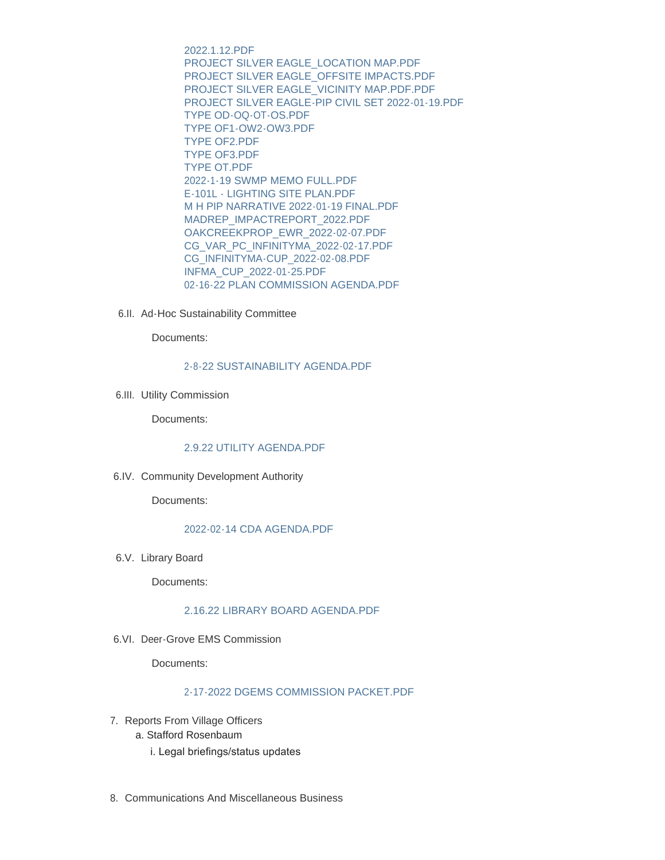2022.1.12.PDF [PROJECT SILVER EAGLE\\_LOCATION MAP.PDF](https://www.vi.cottagegrove.wi.gov/AgendaCenter/ViewFile/Item/9586?fileID=19108) [PROJECT SILVER EAGLE\\_OFFSITE IMPACTS.PDF](https://www.vi.cottagegrove.wi.gov/AgendaCenter/ViewFile/Item/9586?fileID=19109) [PROJECT SILVER EAGLE\\_VICINITY MAP.PDF.PDF](https://www.vi.cottagegrove.wi.gov/AgendaCenter/ViewFile/Item/9586?fileID=19110) [PROJECT SILVER EAGLE-PIP CIVIL SET 2022-01-19.PDF](https://www.vi.cottagegrove.wi.gov/AgendaCenter/ViewFile/Item/9586?fileID=19111) [TYPE OD-OQ-OT-OS.PDF](https://www.vi.cottagegrove.wi.gov/AgendaCenter/ViewFile/Item/9586?fileID=19112) [TYPE OF1-OW2-OW3.PDF](https://www.vi.cottagegrove.wi.gov/AgendaCenter/ViewFile/Item/9586?fileID=19113) [TYPE OF2.PDF](https://www.vi.cottagegrove.wi.gov/AgendaCenter/ViewFile/Item/9586?fileID=19114) [TYPE OF3.PDF](https://www.vi.cottagegrove.wi.gov/AgendaCenter/ViewFile/Item/9586?fileID=19115) [TYPE OT.PDF](https://www.vi.cottagegrove.wi.gov/AgendaCenter/ViewFile/Item/9586?fileID=19116) [2022-1-19 SWMP MEMO FULL.PDF](https://www.vi.cottagegrove.wi.gov/AgendaCenter/ViewFile/Item/9586?fileID=19117) [E-101L - LIGHTING SITE PLAN.PDF](https://www.vi.cottagegrove.wi.gov/AgendaCenter/ViewFile/Item/9586?fileID=19118) [M H PIP NARRATIVE 2022-01-19 FINAL.PDF](https://www.vi.cottagegrove.wi.gov/AgendaCenter/ViewFile/Item/9586?fileID=19119) [MADREP\\_IMPACTREPORT\\_2022.PDF](https://www.vi.cottagegrove.wi.gov/AgendaCenter/ViewFile/Item/9586?fileID=19120) [OAKCREEKPROP\\_EWR\\_2022-02-07.PDF](https://www.vi.cottagegrove.wi.gov/AgendaCenter/ViewFile/Item/9586?fileID=19121) [CG\\_VAR\\_PC\\_INFINITYMA\\_2022-02-17.PDF](https://www.vi.cottagegrove.wi.gov/AgendaCenter/ViewFile/Item/9586?fileID=19122) [CG\\_INFINITYMA-CUP\\_2022-02-08.PDF](https://www.vi.cottagegrove.wi.gov/AgendaCenter/ViewFile/Item/9586?fileID=19123) [INFMA\\_CUP\\_2022-01-25.PDF](https://www.vi.cottagegrove.wi.gov/AgendaCenter/ViewFile/Item/9586?fileID=19124) [02-16-22 PLAN COMMISSION AGENDA.PDF](https://www.vi.cottagegrove.wi.gov/AgendaCenter/ViewFile/Item/9586?fileID=19125)

6.II. Ad-Hoc Sustainability Committee

Documents:

## [2-8-22 SUSTAINABILITY AGENDA.PDF](https://www.vi.cottagegrove.wi.gov/AgendaCenter/ViewFile/Item/9551?fileID=18951)

6.III. Utility Commission

Documents:

# [2.9.22 UTILITY AGENDA.PDF](https://www.vi.cottagegrove.wi.gov/AgendaCenter/ViewFile/Item/9552?fileID=18952)

6.IV. Community Development Authority

Documents:

# [2022-02-14 CDA AGENDA.PDF](https://www.vi.cottagegrove.wi.gov/AgendaCenter/ViewFile/Item/9553?fileID=18953)

6.V. Library Board

Documents:

# [2.16.22 LIBRARY BOARD AGENDA.PDF](https://www.vi.cottagegrove.wi.gov/AgendaCenter/ViewFile/Item/9554?fileID=18954)

6.VI. Deer-Grove EMS Commission

Documents:

# [2-17-2022 DGEMS COMMISSION PACKET.PDF](https://www.vi.cottagegrove.wi.gov/AgendaCenter/ViewFile/Item/9555?fileID=18955)

- 7. Reports From Village Officers
	- a. Stafford Rosenbaum
		- i. Legal briefings/status updates
- 8. Communications And Miscellaneous Business